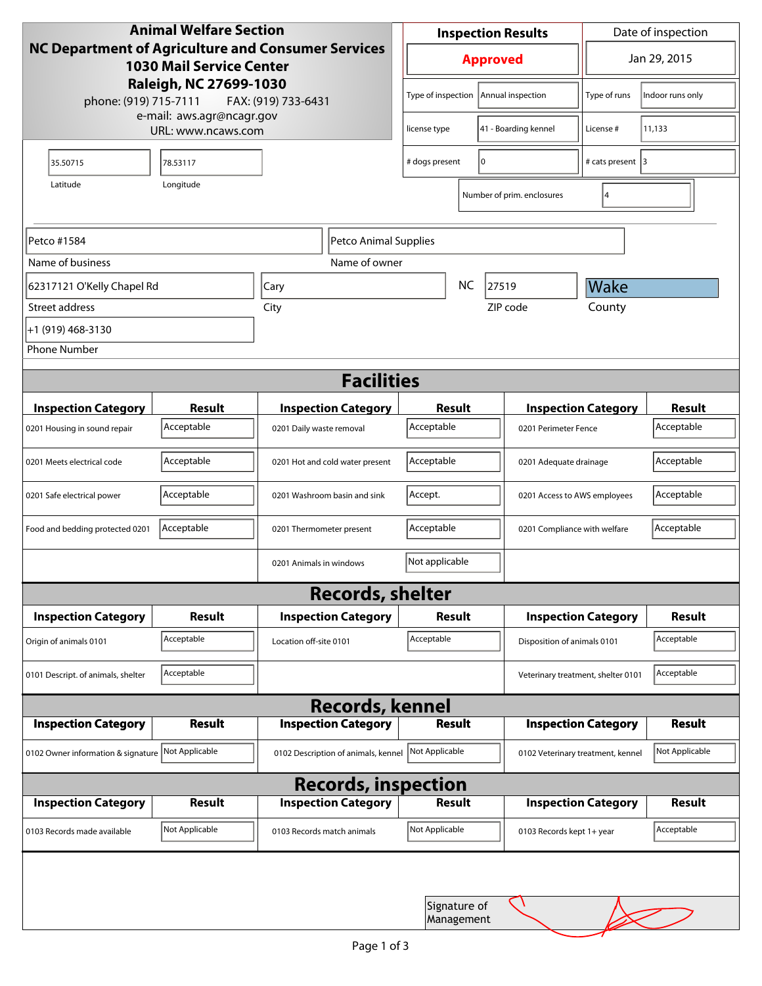| <b>Animal Welfare Section</b><br>NC Department of Agriculture and Consumer Services<br><b>1030 Mail Service Center</b> |                |                                     |                    | <b>Inspection Results</b>            |                            |                                    | Date of inspection |  |
|------------------------------------------------------------------------------------------------------------------------|----------------|-------------------------------------|--------------------|--------------------------------------|----------------------------|------------------------------------|--------------------|--|
|                                                                                                                        |                |                                     |                    | <b>Approved</b>                      |                            |                                    | Jan 29, 2015       |  |
| Raleigh, NC 27699-1030<br>phone: (919) 715-7111<br>FAX: (919) 733-6431                                                 |                |                                     | Type of inspection |                                      | Annual inspection          | Type of runs                       | Indoor runs only   |  |
| e-mail: aws.agr@ncagr.gov<br>URL: www.ncaws.com                                                                        |                |                                     |                    | 41 - Boarding kennel<br>license type |                            | License #                          | 11,133             |  |
| 35.50715                                                                                                               | 78.53117       |                                     |                    | 0<br># dogs present                  |                            | # cats present 3                   |                    |  |
| Latitude                                                                                                               | Longitude      |                                     |                    |                                      | Number of prim. enclosures | 14                                 |                    |  |
| Petco #1584<br>Petco Animal Supplies                                                                                   |                |                                     |                    |                                      |                            |                                    |                    |  |
| Name of business                                                                                                       | Name of owner  |                                     |                    |                                      |                            |                                    |                    |  |
| 62317121 O'Kelly Chapel Rd                                                                                             |                | Cary                                | <b>NC</b><br>27519 |                                      |                            | <b>Wake</b>                        |                    |  |
| Street address                                                                                                         |                | City                                | ZIP code           |                                      |                            | County                             |                    |  |
| +1 (919) 468-3130                                                                                                      |                |                                     |                    |                                      |                            |                                    |                    |  |
| <b>Phone Number</b>                                                                                                    |                |                                     |                    |                                      |                            |                                    |                    |  |
| <b>Facilities</b>                                                                                                      |                |                                     |                    |                                      |                            |                                    |                    |  |
| <b>Inspection Category</b>                                                                                             | <b>Result</b>  | <b>Inspection Category</b>          |                    | Result                               |                            | <b>Inspection Category</b>         | <b>Result</b>      |  |
| 0201 Housing in sound repair                                                                                           | Acceptable     | 0201 Daily waste removal            | Acceptable         |                                      | 0201 Perimeter Fence       |                                    | Acceptable         |  |
| 0201 Meets electrical code                                                                                             | Acceptable     | 0201 Hot and cold water present     |                    | Acceptable<br>0201 Adequate drainage |                            |                                    | Acceptable         |  |
| 0201 Safe electrical power                                                                                             | Acceptable     | 0201 Washroom basin and sink        | Accept.            |                                      |                            | 0201 Access to AWS employees       |                    |  |
| Food and bedding protected 0201                                                                                        | Acceptable     | 0201 Thermometer present            | Acceptable         |                                      |                            | 0201 Compliance with welfare       |                    |  |
|                                                                                                                        |                | 0201 Animals in windows             | Not applicable     |                                      |                            |                                    |                    |  |
|                                                                                                                        |                | <b>Records, shelter</b>             |                    |                                      |                            |                                    |                    |  |
| <b>Inspection Category</b>                                                                                             | Result         | <b>Inspection Category</b>          |                    | Result                               |                            | <b>Inspection Category</b>         |                    |  |
| Origin of animals 0101                                                                                                 | Acceptable     | Location off-site 0101              | Acceptable         |                                      |                            | Disposition of animals 0101        |                    |  |
| 0101 Descript. of animals, shelter                                                                                     | Acceptable     |                                     |                    |                                      |                            | Veterinary treatment, shelter 0101 | Acceptable         |  |
| <b>Records, kennel</b>                                                                                                 |                |                                     |                    |                                      |                            |                                    |                    |  |
| <b>Inspection Category</b>                                                                                             | <b>Result</b>  | <b>Inspection Category</b>          |                    | <b>Result</b>                        |                            | <b>Inspection Category</b>         | <b>Result</b>      |  |
| 0102 Owner information & signature Not Applicable                                                                      |                | 0102 Description of animals, kennel | Not Applicable     |                                      |                            | 0102 Veterinary treatment, kennel  | Not Applicable     |  |
| <b>Records, inspection</b>                                                                                             |                |                                     |                    |                                      |                            |                                    |                    |  |
| <b>Inspection Category</b>                                                                                             | <b>Result</b>  | <b>Inspection Category</b>          |                    | Result                               |                            | <b>Inspection Category</b>         | <b>Result</b>      |  |
| 0103 Records made available                                                                                            | Not Applicable | 0103 Records match animals          | Not Applicable     |                                      | 0103 Records kept 1+ year  |                                    | Acceptable         |  |
|                                                                                                                        |                |                                     |                    |                                      |                            |                                    |                    |  |
|                                                                                                                        |                |                                     |                    | Signature of<br>Management           |                            |                                    |                    |  |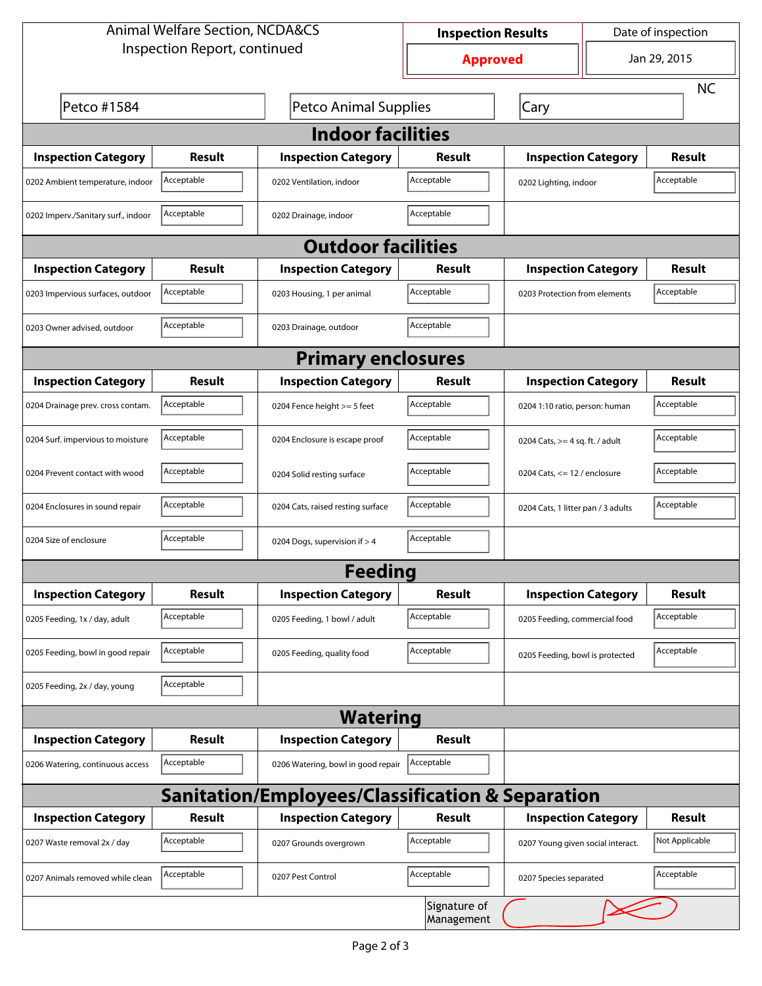| <b>Animal Welfare Section, NCDA&amp;CS</b>                  |               |                                    | <b>Inspection Results</b> |                                    | Date of inspection         |                |  |  |
|-------------------------------------------------------------|---------------|------------------------------------|---------------------------|------------------------------------|----------------------------|----------------|--|--|
| Inspection Report, continued                                |               |                                    | <b>Approved</b>           |                                    | Jan 29, 2015               |                |  |  |
|                                                             |               |                                    |                           |                                    | <b>NC</b>                  |                |  |  |
| Petco #1584                                                 |               | Petco Animal Supplies              |                           | Cary                               |                            |                |  |  |
| <b>Indoor facilities</b>                                    |               |                                    |                           |                                    |                            |                |  |  |
| <b>Inspection Category</b>                                  | Result        | <b>Inspection Category</b>         | Result                    | <b>Inspection Category</b>         |                            | Result         |  |  |
| 0202 Ambient temperature, indoor                            | Acceptable    | 0202 Ventilation, indoor           | Acceptable                | 0202 Lighting, indoor              |                            | Acceptable     |  |  |
| 0202 Imperv./Sanitary surf., indoor                         | Acceptable    | 0202 Drainage, indoor              | Acceptable                |                                    |                            |                |  |  |
| <b>Outdoor facilities</b>                                   |               |                                    |                           |                                    |                            |                |  |  |
| <b>Inspection Category</b>                                  | Result        | <b>Inspection Category</b>         | <b>Result</b>             |                                    | <b>Inspection Category</b> | Result         |  |  |
| 0203 Impervious surfaces, outdoor                           | Acceptable    | 0203 Housing, 1 per animal         | Acceptable                | 0203 Protection from elements      |                            | Acceptable     |  |  |
| 0203 Owner advised, outdoor                                 | Acceptable    | 0203 Drainage, outdoor             | Acceptable                |                                    |                            |                |  |  |
| <b>Primary enclosures</b>                                   |               |                                    |                           |                                    |                            |                |  |  |
| <b>Inspection Category</b>                                  | Result        | <b>Inspection Category</b>         | Result                    |                                    | <b>Inspection Category</b> | <b>Result</b>  |  |  |
| 0204 Drainage prev. cross contam.                           | Acceptable    | 0204 Fence height >= 5 feet        | Acceptable                | 0204 1:10 ratio, person: human     |                            | Acceptable     |  |  |
| 0204 Surf. impervious to moisture                           | Acceptable    | 0204 Enclosure is escape proof     | Acceptable                | 0204 Cats, $>=$ 4 sq. ft. / adult  |                            | Acceptable     |  |  |
| 0204 Prevent contact with wood                              | Acceptable    | 0204 Solid resting surface         | Acceptable                | 0204 Cats, $<= 12$ / enclosure     |                            | Acceptable     |  |  |
| 0204 Enclosures in sound repair                             | Acceptable    | 0204 Cats, raised resting surface  | Acceptable                | 0204 Cats, 1 litter pan / 3 adults |                            | Acceptable     |  |  |
| 0204 Size of enclosure                                      | Acceptable    | 0204 Dogs, supervision if > 4      | Acceptable                |                                    |                            |                |  |  |
|                                                             |               | <b>Feeding</b>                     |                           |                                    |                            |                |  |  |
| <b>Inspection Category</b>                                  | <b>Result</b> | <b>Inspection Category</b>         | <b>Result</b>             |                                    | <b>Inspection Category</b> | <b>Result</b>  |  |  |
| 0205 Feeding, 1x / day, adult                               | Acceptable    | 0205 Feeding, 1 bowl / adult       | Acceptable                | 0205 Feeding, commercial food      |                            | Acceptable     |  |  |
| 0205 Feeding, bowl in good repair                           | Acceptable    | 0205 Feeding, quality food         | Acceptable                | 0205 Feeding, bowl is protected    |                            | Acceptable     |  |  |
| 0205 Feeding, 2x / day, young                               | Acceptable    |                                    |                           |                                    |                            |                |  |  |
|                                                             |               | <b>Watering</b>                    |                           |                                    |                            |                |  |  |
| <b>Inspection Category</b>                                  | <b>Result</b> | <b>Inspection Category</b>         | Result                    |                                    |                            |                |  |  |
| 0206 Watering, continuous access                            | Acceptable    | 0206 Watering, bowl in good repair | Acceptable                |                                    |                            |                |  |  |
| <b>Sanitation/Employees/Classification &amp; Separation</b> |               |                                    |                           |                                    |                            |                |  |  |
| <b>Inspection Category</b>                                  | <b>Result</b> | <b>Inspection Category</b>         | Result                    |                                    | <b>Inspection Category</b> | <b>Result</b>  |  |  |
| 0207 Waste removal 2x / day                                 | Acceptable    | 0207 Grounds overgrown             | Acceptable                | 0207 Young given social interact.  |                            | Not Applicable |  |  |
| 0207 Animals removed while clean                            | Acceptable    | 0207 Pest Control                  | Acceptable                | 0207 Species separated             |                            | Acceptable     |  |  |
| Signature of<br>Management                                  |               |                                    |                           |                                    |                            |                |  |  |